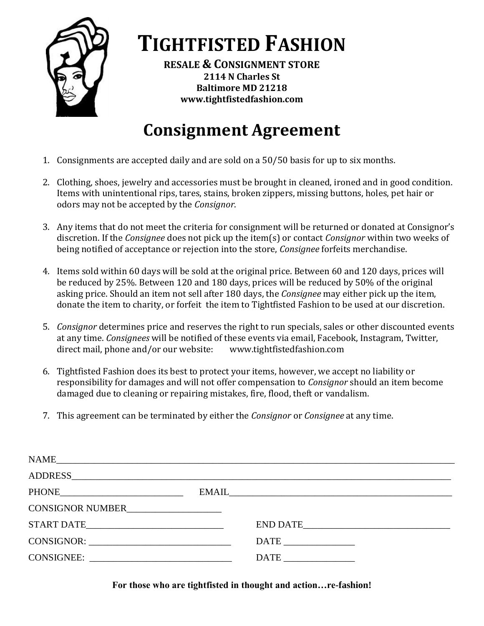

**TIGHTFISTED FASHION**

**RESALE & CONSIGNMENT STORE 2114 N Charles St Baltimore MD 21218 www.tightfistedfashion.com**

## **Consignment Agreement**

- 1. Consignments are accepted daily and are sold on a 50/50 basis for up to six months.
- 2. Clothing, shoes, jewelry and accessories must be brought in cleaned, ironed and in good condition. Items with unintentional rips, tares, stains, broken zippers, missing buttons, holes, pet hair or odors may not be accepted by the *Consignor*.
- 3. Any items that do not meet the criteria for consignment will be returned or donated at Consignor's discretion. If the *Consignee* does not pick up the item(s) or contact *Consignor* within two weeks of being notified of acceptance or rejection into the store, *Consignee* forfeits merchandise.
- 4. Items sold within 60 days will be sold at the original price. Between 60 and 120 days, prices will be reduced by 25%. Between 120 and 180 days, prices will be reduced by 50% of the original asking price. Should an item not sell after 180 days, the *Consignee* may either pick up the item, donate the item to charity, or forfeit the item to Tightfisted Fashion to be used at our discretion.
- 5. *Consignor* determines price and reserves the right to run specials, sales or other discounted events at any time. *Consignees* will be notified of these events via email, Facebook, Instagram, Twitter, direct mail, phone and/or our website: www.tightfistedfashion.com
- 6. Tightfisted Fashion does its best to protect your items, however, we accept no liability or responsibility for damages and will not offer compensation to *Consignor* should an item become damaged due to cleaning or repairing mistakes, fire, flood, theft or vandalism.
- 7. This agreement can be terminated by either the *Consignor* or *Consignee* at any time.

| NAME                                                                                                                                                                                                                                                                                                                                                                                                                                                                                                                                                     |                                                                                                                                                                                                                                |
|----------------------------------------------------------------------------------------------------------------------------------------------------------------------------------------------------------------------------------------------------------------------------------------------------------------------------------------------------------------------------------------------------------------------------------------------------------------------------------------------------------------------------------------------------------|--------------------------------------------------------------------------------------------------------------------------------------------------------------------------------------------------------------------------------|
|                                                                                                                                                                                                                                                                                                                                                                                                                                                                                                                                                          | ADDRESS AND AND ALL THE SERVICE SERVICE SERVICE SERVICE SERVICE SERVICE SERVICE SERVICE SERVICE SERVICE SERVICE SERVICE SERVICE SERVICE SERVICE SERVICE SERVICE SERVICE SERVICE SERVICE SERVICE SERVICE SERVICE SERVICE SERVIC |
|                                                                                                                                                                                                                                                                                                                                                                                                                                                                                                                                                          | EMAIL                                                                                                                                                                                                                          |
| CONSIGNOR NUMBER                                                                                                                                                                                                                                                                                                                                                                                                                                                                                                                                         |                                                                                                                                                                                                                                |
| START DATE                                                                                                                                                                                                                                                                                                                                                                                                                                                                                                                                               | END DATE                                                                                                                                                                                                                       |
| $\text{CONSIGNOR:}\n \underline{\hspace{2cm}}\n \underline{\hspace{2cm}}\n \underline{\hspace{2cm}}\n \underline{\hspace{2cm}}\n \underline{\hspace{2cm}}\n \underline{\hspace{2cm}}\n \underline{\hspace{2cm}}\n \underline{\hspace{2cm}}\n \underline{\hspace{2cm}}\n \underline{\hspace{2cm}}\n \underline{\hspace{2cm}}\n \underline{\hspace{2cm}}\n \underline{\hspace{2cm}}\n \underline{\hspace{2cm}}\n \underline{\hspace{2cm}}\n \underline{\hspace{2cm}}\n \underline{\hspace{2cm}}\n \underline{\hspace{2cm}}\n \underline{\hspace{2cm}}\n \$ |                                                                                                                                                                                                                                |
| CONSIGNEE:                                                                                                                                                                                                                                                                                                                                                                                                                                                                                                                                               | $\text{DATE}$                                                                                                                                                                                                                  |
|                                                                                                                                                                                                                                                                                                                                                                                                                                                                                                                                                          |                                                                                                                                                                                                                                |

**For those who are tightfisted in thought and action…re-fashion!**